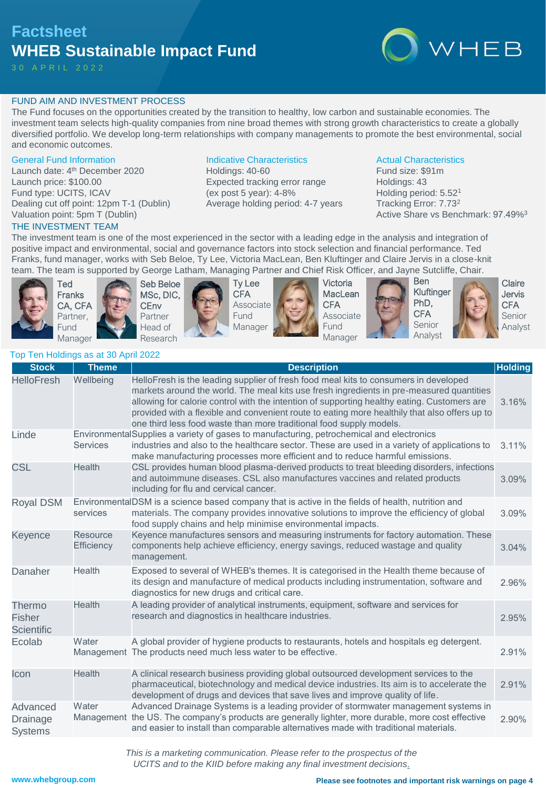# **Factsheet WHEB Sustainable Impact Fund**

30 A P R I L 2 0 2 2



# FUND AIM AND INVESTMENT PROCESS

The Fund focuses on the opportunities created by the transition to healthy, low carbon and sustainable economies. The investment team selects high-quality companies from nine broad themes with strong growth characteristics to create a globally diversified portfolio. We develop long-term relationships with company managements to promote the best environmental, social and economic outcomes.

### General Fund Information

Launch date: 4<sup>th</sup> December 2020 Launch price: \$100.00 Fund type: UCITS, ICAV Dealing cut off point: 12pm T-1 (Dublin) Valuation point: 5pm T (Dublin)

## THE INVESTMENT TEAM

## Indicative Characteristics

Holdings: 40-60 Expected tracking error range (ex post 5 year): 4-8% Average holding period: 4-7 years

### Actual Characteristics

Fund size: \$91m Holdings: 43 Holding period: 5.52<sup>1</sup> Tracking Error: 7.73<sup>2</sup> Active Share vs Benchmark: 97.49%<sup>3</sup>

The investment team is one of the most experienced in the sector with a leading edge in the analysis and integration of positive impact and environmental, social and governance factors into stock selection and financial performance. Ted Franks, fund manager, works with Seb Beloe, Ty Lee, Victoria MacLean, Ben Kluftinger and Claire Jervis in a close-knit team. The team is supported by George Latham, Managing Partner and Chief Risk Officer, and Jayne Sutcliffe, Chair.







Ty Lee CFA Associate **Fund** Manager









**Claire** Jervis CFA Senior Analyst

# Top Ten Holdings as at 30 April 2022

| <b>Stock</b>                                  | <b>Theme</b>                  | <b>Description</b>                                                                                                                                                                                                                                                                                                                                                                                                                                      | <b>Holding</b> |
|-----------------------------------------------|-------------------------------|---------------------------------------------------------------------------------------------------------------------------------------------------------------------------------------------------------------------------------------------------------------------------------------------------------------------------------------------------------------------------------------------------------------------------------------------------------|----------------|
| <b>HelloFresh</b>                             | Wellbeing                     | HelloFresh is the leading supplier of fresh food meal kits to consumers in developed<br>markets around the world. The meal kits use fresh ingredients in pre-measured quantities<br>allowing for calorie control with the intention of supporting healthy eating. Customers are<br>provided with a flexible and convenient route to eating more healthily that also offers up to<br>one third less food waste than more traditional food supply models. | 3.16%          |
| Linde                                         | <b>Services</b>               | EnvironmentalSupplies a variety of gases to manufacturing, petrochemical and electronics<br>industries and also to the healthcare sector. These are used in a variety of applications to<br>make manufacturing processes more efficient and to reduce harmful emissions.                                                                                                                                                                                | 3.11%          |
| CSL                                           | <b>Health</b>                 | CSL provides human blood plasma-derived products to treat bleeding disorders, infections<br>and autoimmune diseases. CSL also manufactures vaccines and related products<br>including for flu and cervical cancer.                                                                                                                                                                                                                                      | 3.09%          |
| <b>Royal DSM</b>                              | services                      | EnvironmentalDSM is a science based company that is active in the fields of health, nutrition and<br>materials. The company provides innovative solutions to improve the efficiency of global<br>food supply chains and help minimise environmental impacts.                                                                                                                                                                                            | 3.09%          |
| Keyence                                       | <b>Resource</b><br>Efficiency | Keyence manufactures sensors and measuring instruments for factory automation. These<br>components help achieve efficiency, energy savings, reduced wastage and quality<br>management.                                                                                                                                                                                                                                                                  | 3.04%          |
| Danaher                                       | Health                        | Exposed to several of WHEB's themes. It is categorised in the Health theme because of<br>its design and manufacture of medical products including instrumentation, software and<br>diagnostics for new drugs and critical care.                                                                                                                                                                                                                         | 2.96%          |
| Thermo<br><b>Fisher</b><br><b>Scientific</b>  | <b>Health</b>                 | A leading provider of analytical instruments, equipment, software and services for<br>research and diagnostics in healthcare industries.                                                                                                                                                                                                                                                                                                                | 2.95%          |
| Ecolab                                        | Water                         | A global provider of hygiene products to restaurants, hotels and hospitals eg detergent.<br>Management The products need much less water to be effective.                                                                                                                                                                                                                                                                                               | 2.91%          |
| Icon                                          | Health                        | A clinical research business providing global outsourced development services to the<br>pharmaceutical, biotechnology and medical device industries. Its aim is to accelerate the<br>development of drugs and devices that save lives and improve quality of life.                                                                                                                                                                                      | 2.91%          |
| Advanced<br><b>Drainage</b><br><b>Systems</b> | Water                         | Advanced Drainage Systems is a leading provider of stormwater management systems in<br>Management the US. The company's products are generally lighter, more durable, more cost effective<br>and easier to install than comparable alternatives made with traditional materials.                                                                                                                                                                        | 2.90%          |

*This is a marketing communication. Please refer to the prospectus of the UCITS and to the KIID before making any final investment decisions.*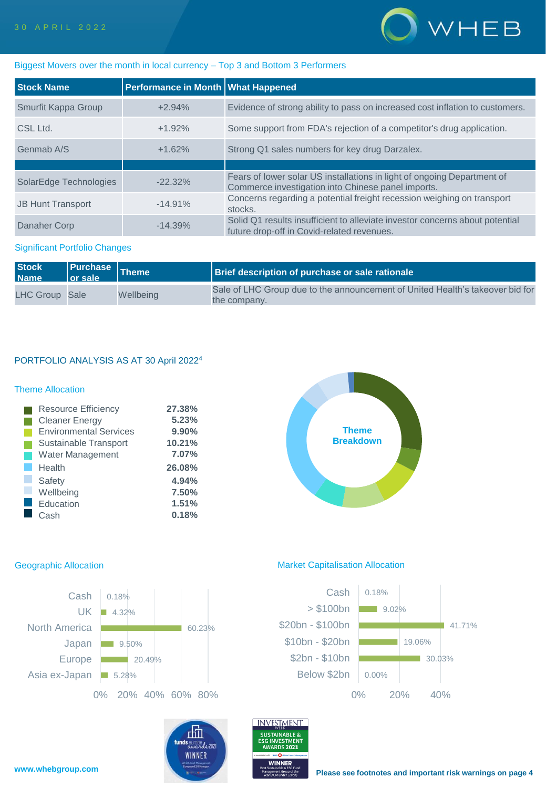

# Biggest Movers over the month in local currency – Top 3 and Bottom 3 Performers

| <b>Stock Name</b>        | Performance in Month   What Happened |                                                                                                                               |
|--------------------------|--------------------------------------|-------------------------------------------------------------------------------------------------------------------------------|
| Smurfit Kappa Group      | $+2.94%$                             | Evidence of strong ability to pass on increased cost inflation to customers.                                                  |
| CSL Ltd.                 | $+1.92%$                             | Some support from FDA's rejection of a competitor's drug application.                                                         |
| Genmab A/S               | $+1.62%$                             | Strong Q1 sales numbers for key drug Darzalex.                                                                                |
|                          |                                      |                                                                                                                               |
| SolarEdge Technologies   | $-22.32\%$                           | Fears of lower solar US installations in light of ongoing Department of<br>Commerce investigation into Chinese panel imports. |
| <b>JB Hunt Transport</b> | $-14.91%$                            | Concerns regarding a potential freight recession weighing on transport<br>stocks.                                             |
| Danaher Corp             | $-14.39%$                            | Solid Q1 results insufficient to alleviate investor concerns about potential<br>future drop-off in Covid-related revenues.    |

# Significant Portfolio Changes

| <b>Stock</b><br><b>Name</b> | <b>l</b> or sale | Purchase Theme | <b>Brief description of purchase or sale rationale</b>                                        |
|-----------------------------|------------------|----------------|-----------------------------------------------------------------------------------------------|
| LHC Group Sale              |                  | Wellbeing      | Sale of LHC Group due to the announcement of United Health's takeover bid for<br>the company. |

# PORTFOLIO ANALYSIS AS AT 30 April 2022<sup>4</sup>

# Theme Allocation

| <b>Resource Efficiency</b>    | 27.38% |
|-------------------------------|--------|
| <b>Cleaner Energy</b>         | 5.23%  |
| <b>Environmental Services</b> | 9.90%  |
| Sustainable Transport         | 10.21% |
| <b>Water Management</b>       | 7.07%  |
| Health                        | 26.08% |
| Safety                        | 4.94%  |
| Wellbeing                     | 7.50%  |
| Education                     | 1.51%  |
| Cash                          | 0.18%  |





### Geographic Allocation **Market Capitalisation Allocation** Market Capitalisation Allocation

INVESTMENT

**SUSTAINABLE &** 

**GINVESTMENT** 

血

funds europe

**WINNER** 



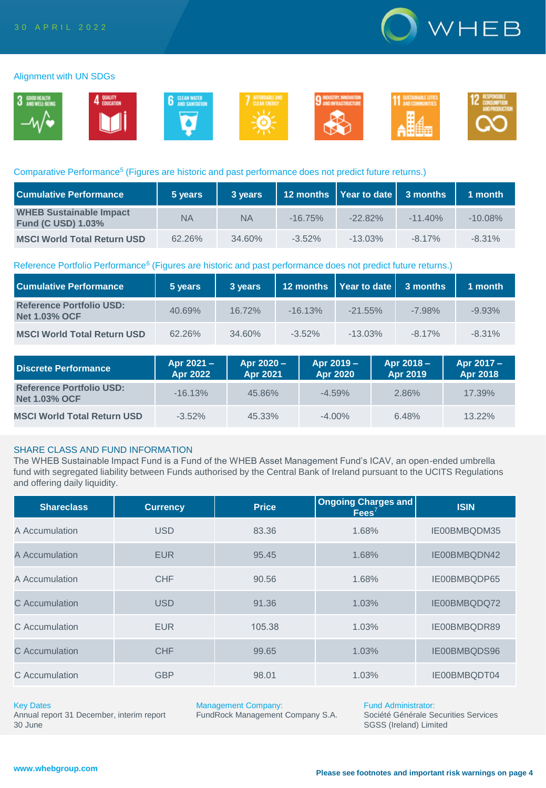

### Alignment with UN SDGs



### Comparative Performance<sup>5</sup> (Figures are historic and past performance does not predict future returns.)

| <b>Cumulative Performance</b>                               | 5 years | 3 years   |           | 12 months   Year to date   3 months |           | 1 month   |
|-------------------------------------------------------------|---------|-----------|-----------|-------------------------------------|-----------|-----------|
| <b>WHEB Sustainable Impact</b><br><b>Fund (C USD) 1.03%</b> | ΝA      | <b>NA</b> | $-16.75%$ | $-22.82%$                           | $-11.40%$ | $-10.08%$ |
| <b>MSCI World Total Return USD</b>                          | 62.26%  | $34.60\%$ | $-3.52\%$ | $-13.03\%$                          | $-817\%$  | $-8.31%$  |

### Reference Portfolio Performance<sup>6</sup> (Figures are historic and past performance does not predict future returns.)

| <b>Cumulative Performance</b>                           | 5 years | 3 years   |           | 12 months   Year to date   3 months |           | 1 month  |
|---------------------------------------------------------|---------|-----------|-----------|-------------------------------------|-----------|----------|
| <b>Reference Portfolio USD:</b><br><b>Net 1.03% OCF</b> | 40.69%  | $16.72\%$ | $-16.13%$ | $-21.55\%$                          | $-7.98\%$ | $-9.93%$ |
| <b>MSCI World Total Return USD</b>                      | 62.26%  | 34.60%    | $-3.52\%$ | $-13.03\%$                          | $-8.17\%$ | $-8.31%$ |

| Discrete Performance                                    | Apr 2021 -<br>Apr 2022 | Apr 2020 -<br>Apr 2021 | Apr 2019 -<br>Apr 2020 | Apr 2018 -<br>Apr 2019 | Apr 2017 -<br><b>Apr 2018</b> |
|---------------------------------------------------------|------------------------|------------------------|------------------------|------------------------|-------------------------------|
| <b>Reference Portfolio USD:</b><br><b>Net 1.03% OCF</b> | $-16.13%$              | 45.86%                 | $-4.59%$               | 2.86%                  | 17.39%                        |
| <b>MSCI World Total Return USD</b>                      | $-3.52\%$              | 45.33%                 | $-4.00\%$              | 6.48%                  | 13.22%                        |

## SHARE CLASS AND FUND INFORMATION

The WHEB Sustainable Impact Fund is a Fund of the WHEB Asset Management Fund's ICAV, an open-ended umbrella fund with segregated liability between Funds authorised by the Central Bank of Ireland pursuant to the UCITS Regulations and offering daily liquidity.

| <b>Shareclass</b> | <b>Currency</b> | <b>Price</b> | Ongoing Charges and<br>$Fees^7$ | <b>ISIN</b>  |
|-------------------|-----------------|--------------|---------------------------------|--------------|
| A Accumulation    | <b>USD</b>      | 83.36        | 1.68%                           | IE00BMBQDM35 |
| A Accumulation    | <b>EUR</b>      | 95.45        | 1.68%                           | IE00BMBQDN42 |
| A Accumulation    | <b>CHF</b>      | 90.56        | 1.68%                           | IE00BMBQDP65 |
| C Accumulation    | <b>USD</b>      | 91.36        | 1.03%                           | IE00BMBQDQ72 |
| C Accumulation    | <b>EUR</b>      | 105.38       | 1.03%                           | IE00BMBQDR89 |
| C Accumulation    | <b>CHF</b>      | 99.65        | 1.03%                           | IE00BMBQDS96 |
| C Accumulation    | <b>GBP</b>      | 98.01        | 1.03%                           | IE00BMBQDT04 |

### Key Dates

Annual report 31 December, interim report 30 June

Management Company:

FundRock Management Company S.A.

Fund Administrator: Société Générale Securities Services SGSS (Ireland) Limited